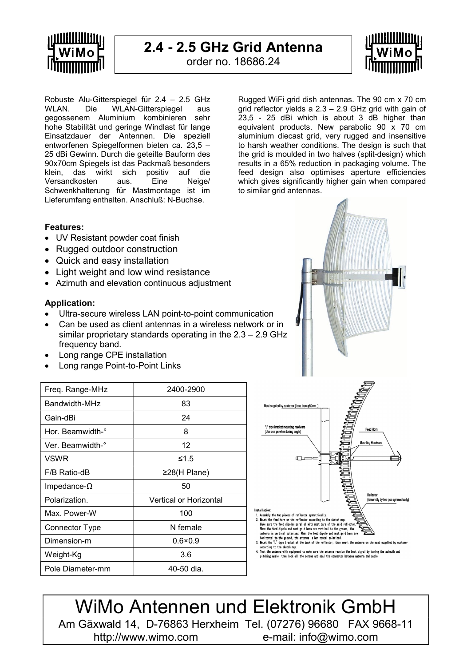

### 2.4 - 2.5 GHz Grid Antenna

order no. 18686.24



Robuste Alu-Gitterspiegel für 2.4 – 2.5 GHz WLAN. Die WLAN-Gitterspiegel aus gegossenem Aluminium kombinieren sehr hohe Stabilität und geringe Windlast für lange Einsatzdauer der Antennen. Die speziell entworfenen Spiegelformen bieten ca. 23,5 – 25 dBi Gewinn. Durch die geteilte Bauform des 90x70cm Spiegels ist das Packmaß besonders klein, das wirkt sich positiv auf die Versandkosten aus. Eine Neige/ Schwenkhalterung für Mastmontage ist im Lieferumfang enthalten. Anschluß: N-Buchse.

Rugged WiFi grid dish antennas. The 90 cm x 70 cm grid reflector yields a 2.3 – 2.9 GHz grid with gain of 23,5 - 25 dBi which is about 3 dB higher than equivalent products. New parabolic 90 x 70 cm aluminium diecast grid, very rugged and insensitive to harsh weather conditions. The design is such that the grid is moulded in two halves (split-design) which results in a 65% reduction in packaging volume. The feed design also optimises aperture efficiencies which gives significantly higher gain when compared to similar grid antennas.

#### Features:

- UV Resistant powder coat finish
- Rugged outdoor construction
- Quick and easy installation
- Light weight and low wind resistance
- Azimuth and elevation continuous adjustment

#### Application:

- Ultra-secure wireless LAN point-to-point communication
- Can be used as client antennas in a wireless network or in similar proprietary standards operating in the 2.3 – 2.9 GHz frequency band.
- Long range CPE installation
- Long range Point-to-Point Links

| Freq. Range-MHz        | 2400-2900                     |
|------------------------|-------------------------------|
| Bandwidth-MHz          | 83                            |
| Gain-dBi               | 24                            |
| Hor. Beamwidth-°       | 8                             |
| Ver. Beamwidth-°       | 12                            |
| <b>VSWR</b>            | ≤1.5                          |
| F/B Ratio-dB           | $≥28$ (H Plane)               |
| $Im$ pedance- $\Omega$ | 50                            |
| Polarization.          | <b>Vertical or Horizontal</b> |
| Max. Power-W           | 100                           |
| Connector Type         | N female                      |
| Dimension-m            | $0.6 \times 0.9$              |
| Weight-Kg              | 3.6                           |
| Pole Diameter-mm       | 40-50 dia.                    |



WiMo Antennen und Elektronik GmbH Am Gäxwald 14, D-76863 Herxheim Tel. (07276) 96680 FAX 9668-11 http://www.wimo.com e-mail: info@wimo.com